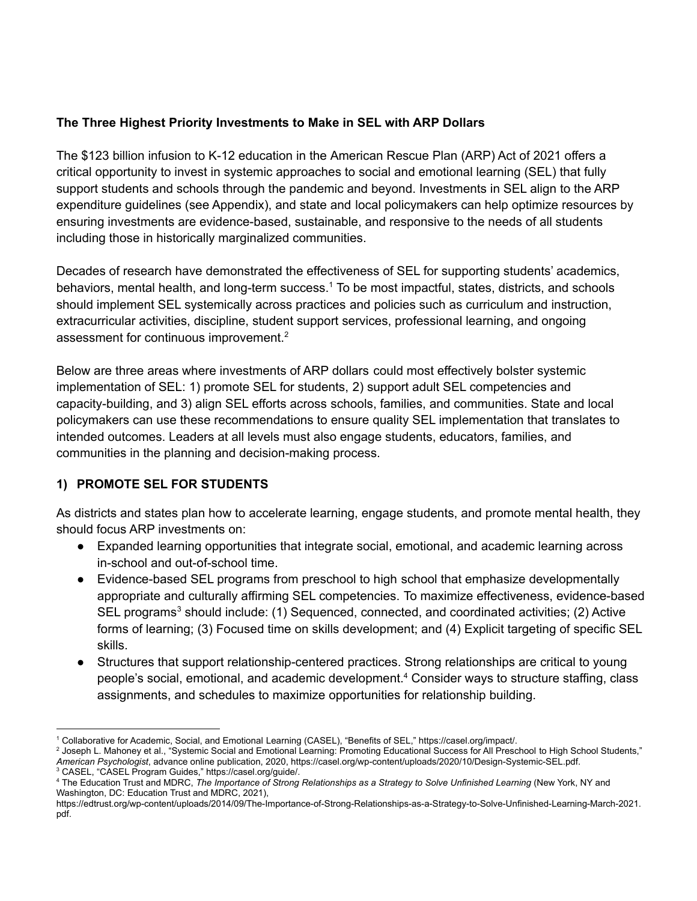### **The Three Highest Priority Investments to Make in SEL with ARP Dollars**

The \$123 billion infusion to K-12 education in the American Rescue Plan (ARP) Act of 2021 offers a critical opportunity to invest in systemic approaches to social and emotional learning (SEL) that fully support students and schools through the pandemic and beyond. Investments in SEL align to the ARP expenditure guidelines (see Appendix), and state and local policymakers can help optimize resources by ensuring investments are evidence-based, sustainable, and responsive to the needs of all students including those in historically marginalized communities.

Decades of research have demonstrated the effectiveness of SEL for supporting students' academics, behaviors, mental health, and long-term success.<sup>1</sup> To be most impactful, states, districts, and schools should implement SEL systemically across practices and policies such as curriculum and instruction, extracurricular activities, discipline, student support services, professional learning, and ongoing assessment for continuous improvement. 2

Below are three areas where investments of ARP dollars could most effectively bolster systemic implementation of SEL: 1) promote SEL for students, 2) support adult SEL competencies and capacity-building, and 3) align SEL efforts across schools, families, and communities. State and local policymakers can use these recommendations to ensure quality SEL implementation that translates to intended outcomes. Leaders at all levels must also engage students, educators, families, and communities in the planning and decision-making process.

# **1) PROMOTE SEL FOR STUDENTS**

As districts and states plan how to accelerate learning, engage students, and promote mental health, they should focus ARP investments on:

- Expanded learning opportunities that integrate social, emotional, and academic learning across in-school and out-of-school time.
- Evidence-based SEL programs from preschool to high school that emphasize developmentally appropriate and culturally affirming SEL competencies. To maximize effectiveness, evidence-based SEL programs<sup>3</sup> should include: (1) Sequenced, connected, and coordinated activities; (2) Active forms of learning; (3) Focused time on skills development; and (4) Explicit targeting of specific SEL skills.
- Structures that support relationship-centered practices. Strong relationships are critical to young people's social, emotional, and academic development. <sup>4</sup> Consider ways to structure staffing, class assignments, and schedules to maximize opportunities for relationship building.

<sup>1</sup> Collaborative for Academic, Social, and Emotional Learning (CASEL), "Benefits of SEL," https://casel.org/impact/.

<sup>&</sup>lt;sup>2</sup> Joseph L. Mahoney et al., "Systemic Social and Emotional Learning: Promoting Educational Success for All Preschool to High School Students," *American Psychologist*, advance online publication, 2020, https://casel.org/wp-content/uploads/2020/10/Design-Systemic-SEL.pdf.

<sup>3</sup> CASEL, "CASEL Program Guides," https://casel.org/guide/.

<sup>4</sup> The Education Trust and MDRC, *The Importance of Strong Relationships as a Strategy to Solve Unfinished Learning* (New York, NY and Washington, DC: Education Trust and MDRC, 2021),

https://edtrust.org/wp-content/uploads/2014/09/The-Importance-of-Strong-Relationships-as-a-Strategy-to-Solve-Unfinished-Learning-March-2021. pdf.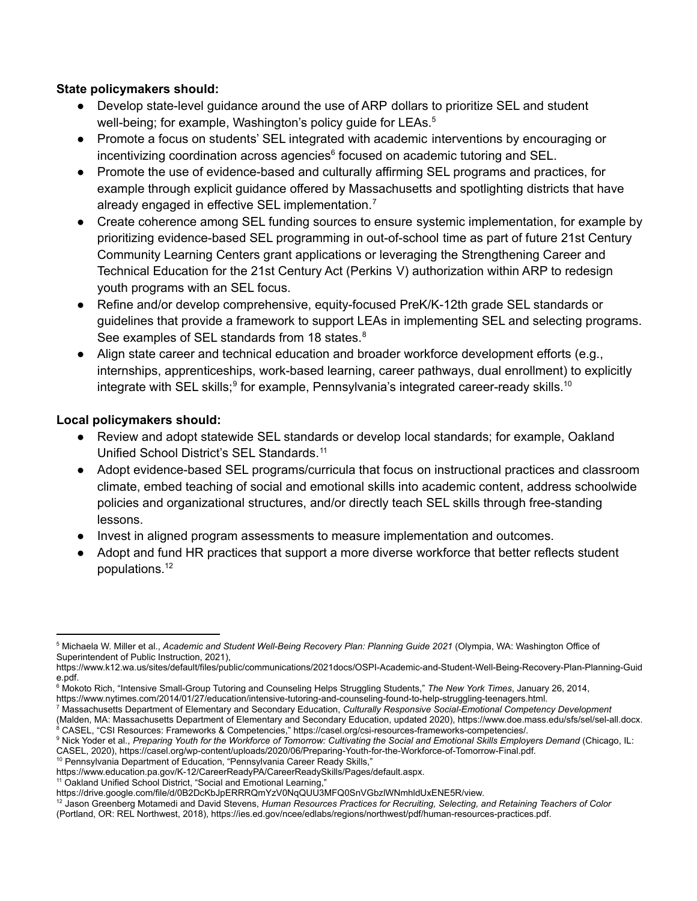#### **State policymakers should:**

- Develop state-level guidance around the use of ARP dollars to prioritize SEL and student well-being; for example, [Washington's](https://www.k12.wa.us/sites/default/files/public/communications/2021docs/OSPI-Academic-and-Student-Well-Being-Recovery-Plan-Planning-Guide.pdf) policy guide for LEAs.<sup>5</sup>
- Promote a focus on students' SEL integrated with academic interventions by encouraging or incentivizing coordination across agencies<sup>6</sup> focused on academic tutoring and SEL.
- Promote the use of evidence-based and culturally affirming SEL programs and practices, for example through explicit guidance offered by Massachusetts and spotlighting districts that have already engaged in effective SEL implementation.<sup>7</sup>
- Create coherence among SEL funding sources to ensure systemic implementation, for example by prioritizing evidence-based SEL programming in out-of-school time as part of future 21st Century Community Learning Centers grant applications or leveraging the Strengthening Career and Technical Education for the 21st Century Act (Perkins V) authorization within ARP to redesign youth programs with an SEL focus.
- Refine and/or develop comprehensive, equity-focused PreK/K-12th grade SEL standards or guidelines that provide a framework to support LEAs in implementing SEL and selecting programs. See examples of SEL standards from 18 states.<sup>8</sup>
- Align state career and technical education and broader workforce development efforts (e.g., internships, apprenticeships, work-based learning, career pathways, dual enrollment) to explicitly integrate with SEL skills;<sup>9</sup> for example, Pennsylvania's integrated career-ready skills.<sup>10</sup>

#### **Local policymakers should:**

- Review and adopt statewide SEL standards or develop local standards; for example, Oakland Unified School District's SEL Standards. 11
- Adopt evidence-based SEL programs/curricula that focus on instructional practices and classroom climate, embed teaching of social and emotional skills into academic content, address schoolwide policies and organizational structures, and/or directly teach SEL skills through free-standing lessons.
- Invest in aligned program assessments to measure implementation and outcomes.
- Adopt and fund HR practices that support a more diverse workforce that better reflects student populations. 12

- <sup>10</sup> Pennsylvania Department of Education, "Pennsylvania Career Ready Skills,"
- https://www.education.pa.gov/K-12/CareerReadyPA/CareerReadySkills/Pages/default.aspx.

<sup>11</sup> Oakland Unified School District, "Social and Emotional Learning,"

<sup>5</sup> Michaela W. Miller et al., *Academic and Student Well-Being Recovery Plan: Planning Guide 2021* (Olympia, WA: Washington Office of Superintendent of Public Instruction, 2021),

https://www.k12.wa.us/sites/default/files/public/communications/2021docs/OSPI-Academic-and-Student-Well-Being-Recovery-Plan-Planning-Guid e.pdf.

<sup>6</sup> Mokoto Rich, "Intensive Small-Group Tutoring and Counseling Helps Struggling Students," *The New York Times*, January 26, 2014,

https://www.nytimes.com/2014/01/27/education/intensive-tutoring-and-counseling-found-to-help-struggling-teenagers.html.

<sup>7</sup> Massachusetts Department of Elementary and Secondary Education, *Culturally Responsive Social-Emotional Competency Development*

<sup>&</sup>lt;sup>8</sup> CASEL, "CSI Resources: Frameworks & Competencies," https://casel.org/csi-resources-frameworks-competencies/. (Malden, MA: Massachusetts Department of Elementary and Secondary Education, updated 2020), https://www.doe.mass.edu/sfs/sel/sel-all.docx.

<sup>&</sup>lt;sup>9</sup> Nick Yoder et al., Preparing Youth for the Workforce of Tomorrow: Cultivating the Social and Emotional Skills Employers Demand (Chicago, IL: CASEL, 2020), https://casel.org/wp-content/uploads/2020/06/Preparing-Youth-for-the-Workforce-of-Tomorrow-Final.pdf.

https://drive.google.com/file/d/0B2DcKbJpERRRQmYzV0NqQUU3MFQ0SnVGbzlWNmhldUxENE5R/view.

<sup>12</sup> Jason Greenberg Motamedi and David Stevens, *Human Resources Practices for Recruiting, Selecting, and Retaining Teachers of Color*

<sup>(</sup>Portland, OR: REL Northwest, 2018), https://ies.ed.gov/ncee/edlabs/regions/northwest/pdf/human-resources-practices.pdf.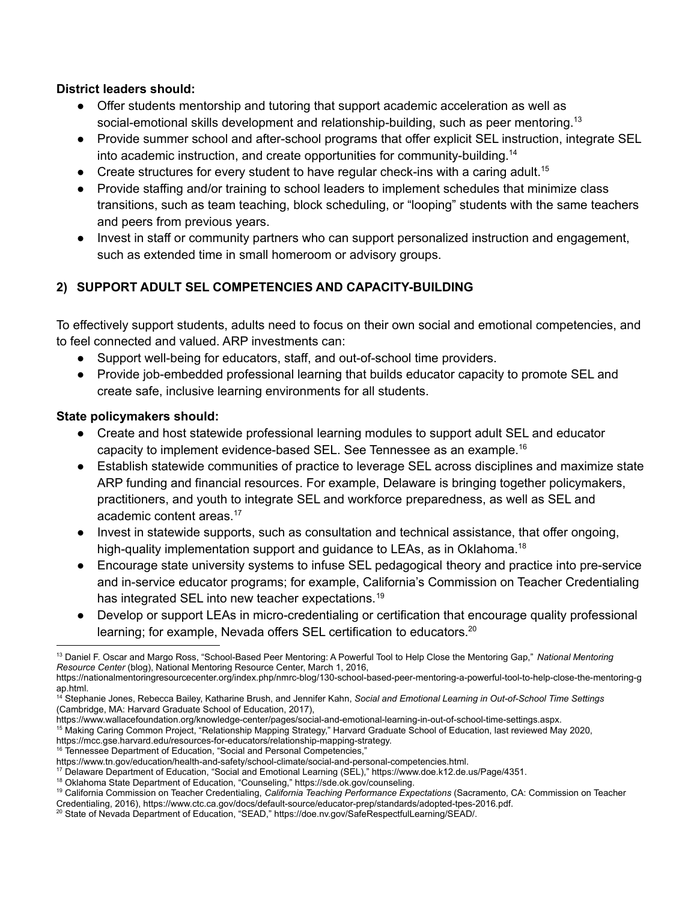#### **District leaders should:**

- **●** Offer students mentorship and tutoring that support academic acceleration as well as social-emotional skills development and relationship-building, such as peer mentoring.<sup>13</sup>
- Provide summer school and after-school programs that offer explicit SEL instruction, integrate SEL into academic instruction, and create opportunities for community-building. 14
- $\bullet$  Create structures for every student to have regular check-ins with a caring adult.<sup>15</sup>
- Provide staffing and/or training to school leaders to implement schedules that minimize class transitions, such as team teaching, block scheduling, or "looping" students with the same teachers and peers from previous years.
- Invest in staff or community partners who can support personalized instruction and engagement, such as extended time in small homeroom or advisory groups.

# **2) SUPPORT ADULT SEL COMPETENCIES AND CAPACITY-BUILDING**

To effectively support students, adults need to focus on their own social and emotional competencies, and to feel connected and valued. ARP investments can:

- Support well-being for educators, staff, and out-of-school time providers.
- Provide job-embedded professional learning that builds educator capacity to promote SEL and create safe, inclusive learning environments for all students.

#### **State policymakers should:**

- Create and host statewide professional learning modules to support adult SEL and educator capacity to implement evidence-based SEL. See Tennessee as an example. 16
- Establish statewide communities of practice to leverage SEL across disciplines and maximize state ARP funding and financial resources. For example, Delaware is bringing together policymakers, practitioners, and youth to integrate SEL and workforce preparedness, as well as SEL and academic content areas. 17
- Invest in statewide supports, such as consultation and technical assistance, that offer ongoing, high-quality implementation support and guidance to LEAs, as in Oklahoma.<sup>18</sup>
- Encourage state university systems to infuse SEL pedagogical theory and practice into pre-service and in-service educator programs; for example, California's Commission on Teacher Credentialing has integrated SEL into new teacher expectations.<sup>19</sup>
- Develop or support LEAs in micro-credentialing or certification that encourage quality professional learning; for example, Nevada offers SEL certification to educators.<sup>20</sup>

<sup>15</sup> Making Caring Common Project, "Relationship Mapping Strategy," Harvard Graduate School of Education, last reviewed May 2020, https://mcc.gse.harvard.edu/resources-for-educators/relationship-mapping-strategy.

<sup>16</sup> Tennessee Department of Education, "Social and Personal Competencies,"

<sup>13</sup> Daniel F. Oscar and Margo Ross, "School-Based Peer Mentoring: A Powerful Tool to Help Close the Mentoring Gap," *National Mentoring Resource Center* (blog), National Mentoring Resource Center, March 1, 2016,

https://nationalmentoringresourcecenter.org/index.php/nmrc-blog/130-school-based-peer-mentoring-a-powerful-tool-to-help-close-the-mentoring-g ap.html.

<sup>14</sup> Stephanie Jones, Rebecca Bailey, Katharine Brush, and Jennifer Kahn, *Social and Emotional Learning in Out-of-School Time Settings* (Cambridge, MA: Harvard Graduate School of Education, 2017),

https://www.wallacefoundation.org/knowledge-center/pages/social-and-emotional-learning-in-out-of-school-time-settings.aspx.

https://www.tn.gov/education/health-and-safety/school-climate/social-and-personal-competencies.html.

<sup>17</sup> Delaware Department of Education, "Social and Emotional Learning (SEL)," https://www.doe.k12.de.us/Page/4351.

<sup>&</sup>lt;sup>18</sup> Oklahoma State Department of Education, "Counseling," https://sde.ok.gov/counseling.

<sup>19</sup> California Commission on Teacher Credentialing, *California Teaching Performance Expectations* (Sacramento, CA: Commission on Teacher

<sup>20</sup> State of Nevada Department of Education, "SEAD," https://doe.nv.gov/SafeRespectfulLearning/SEAD/. Credentialing, 2016), https://www.ctc.ca.gov/docs/default-source/educator-prep/standards/adopted-tpes-2016.pdf.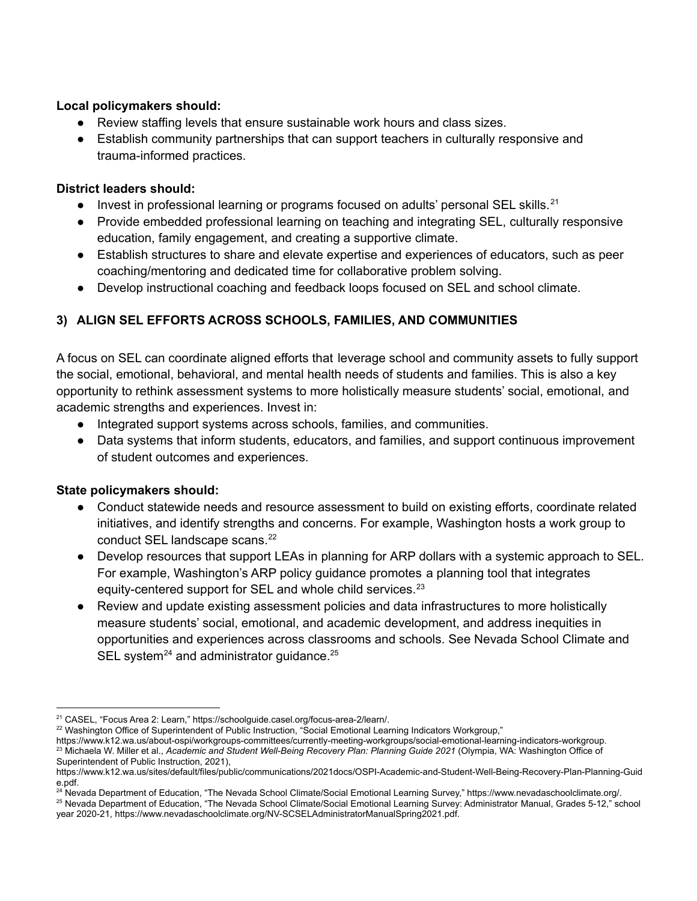#### **Local policymakers should:**

- Review staffing levels that ensure sustainable work hours and class sizes.
- Establish community partnerships that can support teachers in culturally responsive and trauma-informed practices.

#### **District leaders should:**

- Invest in professional learning or programs focused on adults' personal SEL skills.<sup>21</sup>
- Provide embedded professional learning on teaching and integrating SEL, culturally responsive education, family engagement, and creating a supportive climate.
- Establish structures to share and elevate expertise and experiences of educators, such as peer coaching/mentoring and dedicated time for collaborative problem solving.
- Develop instructional coaching and feedback loops focused on SEL and school climate.

# **3) ALIGN SEL EFFORTS ACROSS SCHOOLS, FAMILIES, AND COMMUNITIES**

A focus on SEL can coordinate aligned efforts that leverage school and community assets to fully support the social, emotional, behavioral, and mental health needs of students and families. This is also a key opportunity to rethink assessment systems to more holistically measure students' social, emotional, and academic strengths and experiences. Invest in:

- **●** Integrated support systems across schools, families, and communities.
- **●** Data systems that inform students, educators, and families, and support continuous improvement of student outcomes and experiences.

#### **State policymakers should:**

- Conduct statewide needs and resource assessment to build on existing efforts, coordinate related initiatives, and identify strengths and concerns. For example, Washington hosts a work group to conduct SEL landscape scans. 22
- Develop resources that support LEAs in planning for ARP dollars with a systemic approach to SEL. For example, Washington's ARP policy guidance promotes a planning tool that integrates equity-centered support for SEL and whole child services.<sup>23</sup>
- Review and update existing assessment policies and data infrastructures to more holistically measure students' social, emotional, and academic development, and address inequities in opportunities and experiences across classrooms and schools. See Nevada School Climate and SEL system<sup>24</sup> and administrator guidance.<sup>25</sup>

<sup>22</sup> Washington Office of Superintendent of Public Instruction, "Social Emotional Learning Indicators Workgroup,"

<sup>23</sup> Michaela W. Miller et al., *Academic and Student Well-Being Recovery Plan: Planning Guide 2021* (Olympia, WA: Washington Office of Superintendent of Public Instruction, 2021), https://www.k12.wa.us/about-ospi/workgroups-committees/currently-meeting-workgroups/social-emotional-learning-indicators-workgroup.

<sup>24</sup> Nevada Department of Education, "The Nevada School Climate/Social Emotional Learning Survey," https://www.nevadaschoolclimate.org/.

<sup>25</sup> Nevada Department of Education, "The Nevada School Climate/Social Emotional Learning Survey: Administrator Manual, Grades 5-12," school year 2020-21, https://www.nevadaschoolclimate.org/NV-SCSELAdministratorManualSpring2021.pdf.

<sup>21</sup> CASEL, "Focus Area 2: Learn," https://schoolguide.casel.org/focus-area-2/learn/.

https://www.k12.wa.us/sites/default/files/public/communications/2021docs/OSPI-Academic-and-Student-Well-Being-Recovery-Plan-Planning-Guid e.pdf.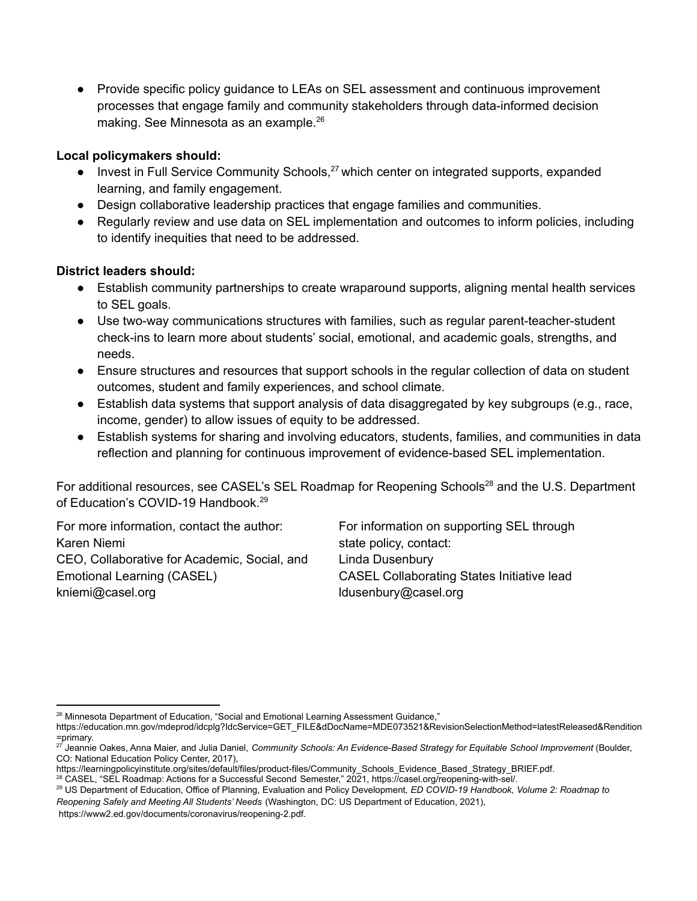● Provide specific policy guidance to LEAs on SEL assessment and continuous improvement processes that engage family and community stakeholders through data-informed decision making. See Minnesota as an example. 26

# **Local policymakers should:**

- Invest in Full Service Community Schools,<sup>27</sup> which center on integrated supports, expanded learning, and family engagement.
- Design collaborative leadership practices that engage families and communities.
- Regularly review and use data on SEL implementation and outcomes to inform policies, including to identify inequities that need to be addressed.

# **District leaders should:**

- Establish community partnerships to create wraparound supports, aligning mental health services to SEL goals.
- Use two-way communications structures with families, such as regular parent-teacher-student check-ins to learn more about students' social, emotional, and academic goals, strengths, and needs.
- Ensure structures and resources that support schools in the regular collection of data on student outcomes, student and family experiences, and school climate.
- Establish data systems that support analysis of data disaggregated by key subgroups (e.g., race, income, gender) to allow issues of equity to be addressed.
- Establish systems for sharing and involving educators, students, families, and communities in data reflection and planning for continuous improvement of evidence-based SEL implementation.

For additional resources, see CASEL's SEL Roadmap for Reopening Schools<sup>28</sup> and the U.S. Department of Education's COVID-19 Handbook. 29

For more information, contact the author: Karen Niemi CEO, Collaborative for Academic, Social, and Emotional Learning (CASEL) kniemi@casel.org

For information on supporting SEL through state policy, contact: Linda Dusenbury CASEL Collaborating States Initiative lead ldusenbury@casel.org

<sup>26</sup> Minnesota Department of Education, "Social and Emotional Learning Assessment Guidance,"

https://education.mn.gov/mdeprod/idcplg?IdcService=GET\_FILE&dDocName=MDE073521&RevisionSelectionMethod=latestReleased&Rendition =primary.

<sup>27</sup> Jeannie Oakes, Anna Maier, and Julia Daniel, *Community Schools: An Evidence-Based Strategy for Equitable School Improvement* (Boulder, CO: National Education Policy Center, 2017),

https://learningpolicyinstitute.org/sites/default/files/product-files/Community\_Schools\_Evidence\_Based\_Strategy\_BRIEF.pdf.

<sup>28</sup> CASEL, "SEL Roadmap: Actions for a Successful Second Semester," 2021, https://casel.org/reopening-with-sel/.

<sup>29</sup> US Department of Education, Office of Planning, Evaluation and Policy Development*, ED COVID-19 Handbook, Volume 2: Roadmap to Reopening Safely and Meeting All Students' Needs* (Washington, DC: US Department of Education, 2021), https://www2.ed.gov/documents/coronavirus/reopening-2.pdf.